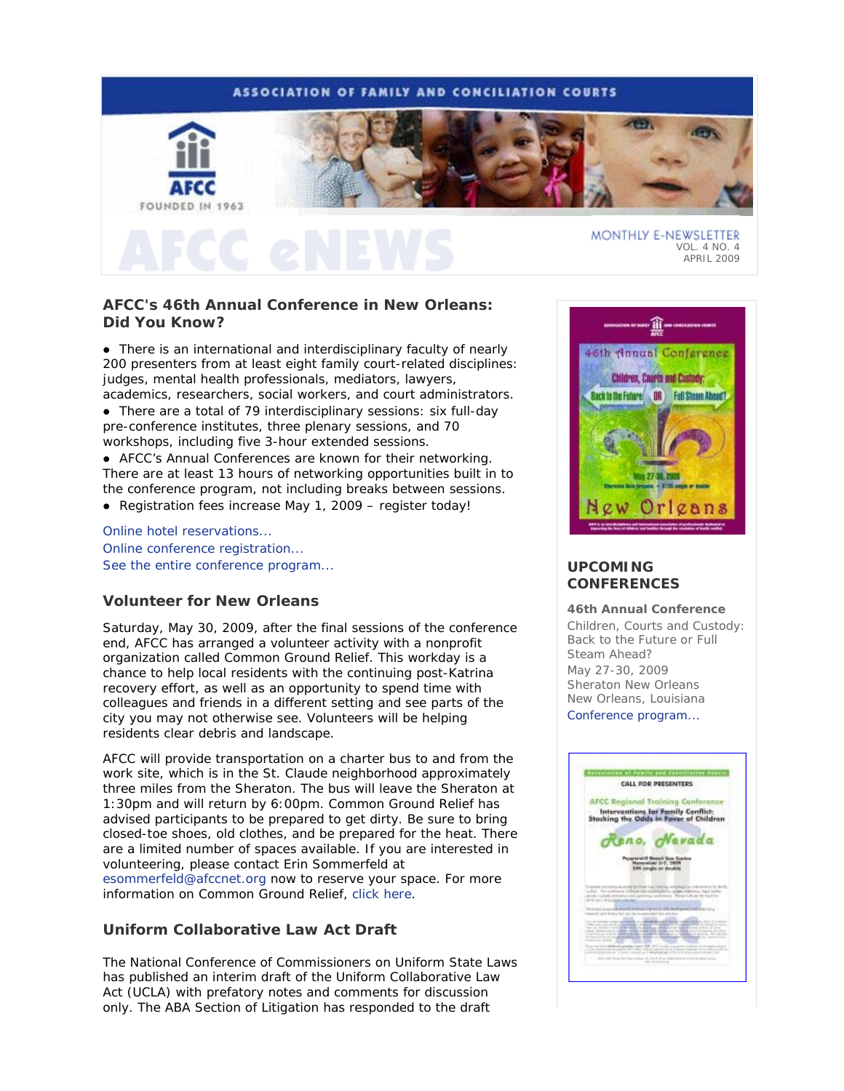## **ASSOCIATION OF FAMILY AND CONCILIATION COURTS**



## VOL. 4 NO. 4 APRIL 2009

# **AFCC's 46th Annual Conference in New Orleans: Did You Know?**

 There is an international and interdisciplinary faculty of nearly 200 presenters from at least eight family court-related disciplines: judges, mental health professionals, mediators, lawyers, academics, researchers, social workers, and court administrators.

 There are a total of 79 interdisciplinary sessions: six full-day pre-conference institutes, three plenary sessions, and 70 workshops, including five 3-hour extended sessions.

 AFCC's Annual Conferences are known for their networking. There are at least 13 hours of networking opportunities built in to the conference program, not including breaks between sessions.

Registration fees increase May 1, 2009 – register today!

Online hotel reservations... Online conference registration... See the entire conference program...

## **Volunteer for New Orleans**

Saturday, May 30, 2009, after the final sessions of the conference end, AFCC has arranged a volunteer activity with a nonprofit organization called Common Ground Relief. This workday is a chance to help local residents with the continuing post-Katrina recovery effort, as well as an opportunity to spend time with colleagues and friends in a different setting and see parts of the city you may not otherwise see. Volunteers will be helping residents clear debris and landscape.

AFCC will provide transportation on a charter bus to and from the work site, which is in the St. Claude neighborhood approximately three miles from the Sheraton. The bus will leave the Sheraton at 1:30pm and will return by 6:00pm. Common Ground Relief has advised participants to be prepared to get dirty. Be sure to bring closed-toe shoes, old clothes, and be prepared for the heat. There are a limited number of spaces available. If you are interested in volunteering, please contact Erin Sommerfeld at esommerfeld@afccnet.org now to reserve your space. For more information on Common Ground Relief, click here.

## **Uniform Collaborative Law Act Draft**

The National Conference of Commissioners on Uniform State Laws has published an interim draft of the Uniform Collaborative Law Act (UCLA) with prefatory notes and comments for discussion only. The ABA Section of Litigation has responded to the draft



# **UPCOMING CONFERENCES**

### **46th Annual Conference**

*Children, Courts and Custody: Back to the Future or Full Steam Ahead?*  May 27-30, 2009 Sheraton New Orleans New Orleans, Louisiana Conference program...

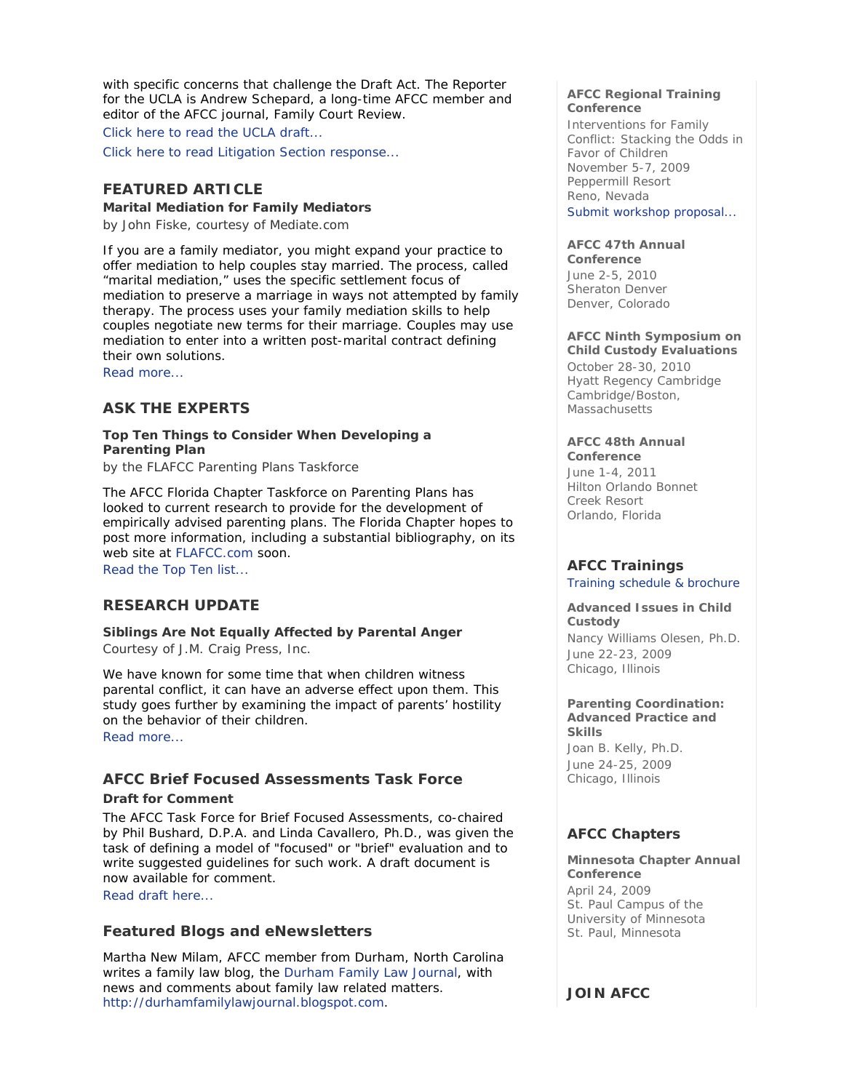with specific concerns that challenge the Draft Act. The Reporter for the UCLA is Andrew Schepard, a long-time AFCC member and editor of the AFCC journal, *Family Court Review*.

Click here to read the UCLA draft...

Click here to read Litigation Section response...

## **FEATURED ARTICLE**

**Marital Mediation for Family Mediators** 

*by John Fiske, courtesy of Mediate.com* 

If you are a family mediator, you might expand your practice to offer mediation to help couples stay married. The process, called "marital mediation," uses the specific settlement focus of mediation to preserve a marriage in ways not attempted by family therapy. The process uses your family mediation skills to help couples negotiate new terms for their marriage. Couples may use mediation to enter into a written post-marital contract defining their own solutions.

Read more...

## **ASK THE EXPERTS**

**Top Ten Things to Consider When Developing a Parenting Plan** 

*by the FLAFCC Parenting Plans Taskforce* 

The AFCC Florida Chapter Taskforce on Parenting Plans has looked to current research to provide for the development of empirically advised parenting plans. The Florida Chapter hopes to post more information, including a substantial bibliography, on its web site at FLAFCC.com soon. Read the Top Ten list...

# **RESEARCH UPDATE**

**Siblings Are Not Equally Affected by Parental Anger**  *Courtesy of J.M. Craig Press, Inc.* 

We have known for some time that when children witness parental conflict, it can have an adverse effect upon them. This study goes further by examining the impact of parents' hostility on the behavior of their children.

Read more...

# **AFCC Brief Focused Assessments Task Force**

## **Draft for Comment**

The AFCC Task Force for Brief Focused Assessments, co-chaired by Phil Bushard, D.P.A. and Linda Cavallero, Ph.D., was given the task of defining a model of "focused" or "brief" evaluation and to write suggested guidelines for such work. A draft document is now available for comment.

Read draft here...

## **Featured Blogs and eNewsletters**

Martha New Milam, AFCC member from Durham, North Carolina writes a family law blog, the Durham Family Law Journal, with news and comments about family law related matters. http://durhamfamilylawjournal.blogspot.com.

## **AFCC Regional Training Conference**

*Interventions for Family Conflict: Stacking the Odds in Favor of Children*  November 5-7, 2009 Peppermill Resort Reno, Nevada Submit workshop proposal...

## **AFCC 47th Annual**

**Conference**  June 2-5, 2010 Sheraton Denver Denver, Colorado

### **AFCC Ninth Symposium on Child Custody Evaluations**

October 28-30, 2010 Hyatt Regency Cambridge Cambridge/Boston, Massachusetts

## **AFCC 48th Annual**

**Conference** June 1-4, 2011 Hilton Orlando Bonnet Creek Resort Orlando, Florida

# **AFCC Trainings**

Training schedule & brochure

**Advanced Issues in Child Custody**  *Nancy Williams Olesen, Ph.D.*  June 22-23, 2009 Chicago, Illinois

### **Parenting Coordination: Advanced Practice and Skills**

*Joan B. Kelly, Ph.D.* June 24-25, 2009 Chicago, Illinois

# **AFCC Chapters**

**Minnesota Chapter Annual Conference**  April 24, 2009 St. Paul Campus of the University of Minnesota St. Paul, Minnesota

# **JOIN AFCC**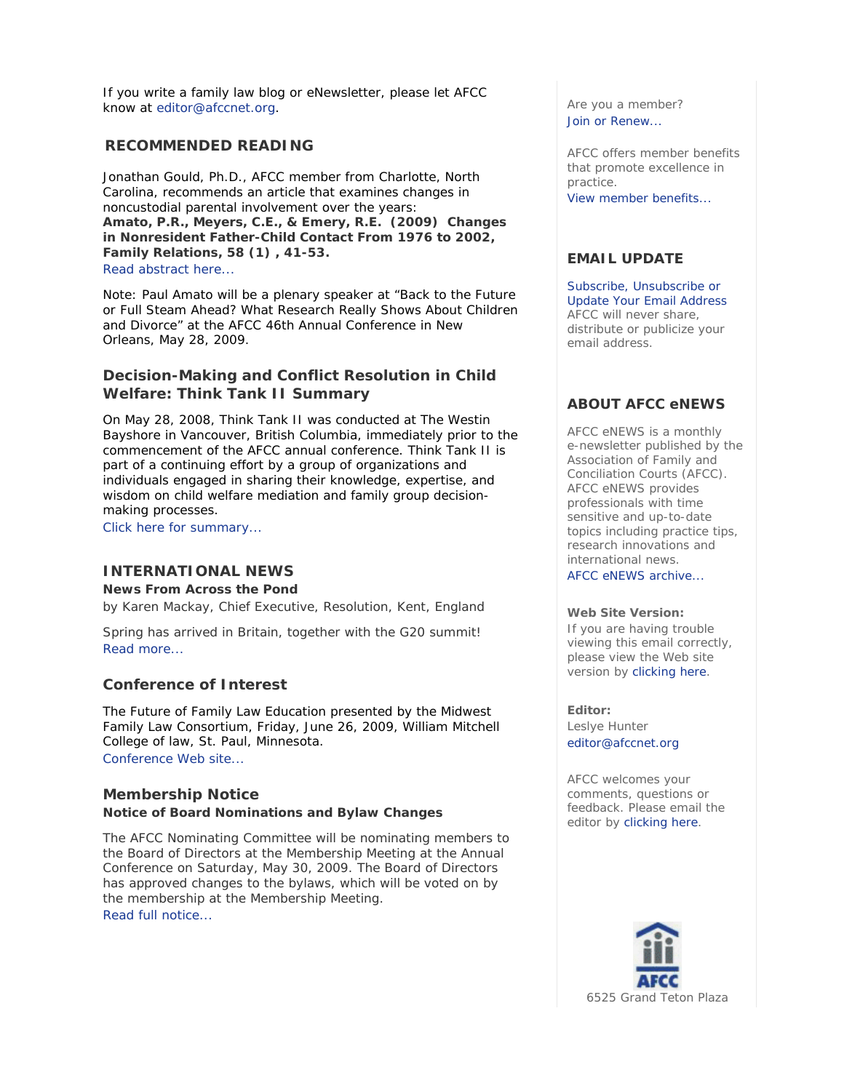If you write a family law blog or eNewsletter, please let AFCC know at editor@afccnet.org.

## **RECOMMENDED READING**

Jonathan Gould, Ph.D., AFCC member from Charlotte, North Carolina, recommends an article that examines changes in noncustodial parental involvement over the years: **Amato, P.R., Meyers, C.E., & Emery, R.E. (2009) Changes in Nonresident Father-Child Contact From 1976 to 2002,**  *Family Relations***, 58 (1) , 41-53.** Read abstract here...

Note: Paul Amato will be a plenary speaker at "Back to the Future or Full Steam Ahead? What Research *Really* Shows About Children and Divorce" at the AFCC 46th Annual Conference in New Orleans, May 28, 2009.

# **Decision-Making and Conflict Resolution in Child Welfare: Think Tank II Summary**

On May 28, 2008, Think Tank II was conducted at The Westin Bayshore in Vancouver, British Columbia, immediately prior to the commencement of the AFCC annual conference. Think Tank II is part of a continuing effort by a group of organizations and individuals engaged in sharing their knowledge, expertise, and wisdom on child welfare mediation and family group decisionmaking processes.

Click here for summary...

# **INTERNATIONAL NEWS**

**News From Across the Pond**  *by Karen Mackay, Chief Executive, Resolution, Kent, England* 

Spring has arrived in Britain, together with the G20 summit! Read more...

# **Conference of Interest**

The Future of Family Law Education presented by the Midwest Family Law Consortium, Friday, June 26, 2009, William Mitchell College of law, St. Paul, Minnesota.

Conference Web site...

# **Membership Notice**

## **Notice of Board Nominations and Bylaw Changes**

The AFCC Nominating Committee will be nominating members to the Board of Directors at the Membership Meeting at the Annual Conference on Saturday, May 30, 2009. The Board of Directors has approved changes to the bylaws, which will be voted on by the membership at the Membership Meeting. Read full notice...

Are you a member? Join or Renew...

AFCC offers member benefits that promote excellence in practice. View member benefits...

## **EMAIL UPDATE**

Subscribe, Unsubscribe or Update Your Email Address AFCC will never share, distribute or publicize your email address.

# **ABOUT AFCC eNEWS**

*AFCC eNEWS* is a monthly e-newsletter published by the Association of Family and Conciliation Courts (AFCC). *AFCC eNEWS* provides professionals with time sensitive and up-to-date topics including practice tips, research innovations and international news.

AFCC eNEWS archive...

## **Web Site Version:**

If you are having trouble viewing this email correctly, please view the Web site version by clicking here.

**Editor:**  Leslye Hunter editor@afccnet.org

AFCC welcomes your comments, questions or feedback. Please email the editor by clicking here.

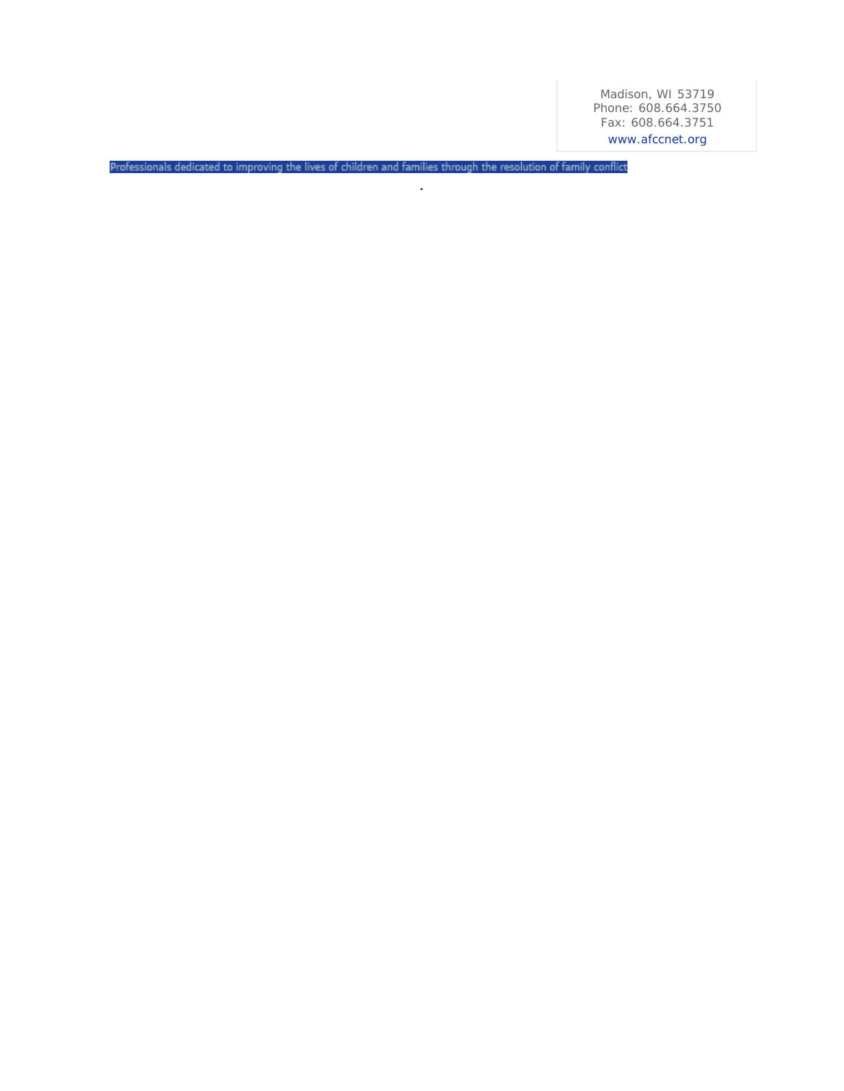Madison, WI 53719 Phone: 608.664.3750 Fax: 608.664.3751 www.afccnet.org

Professionals dedicated to improving the lives of children and families through the resolution of family conflict

.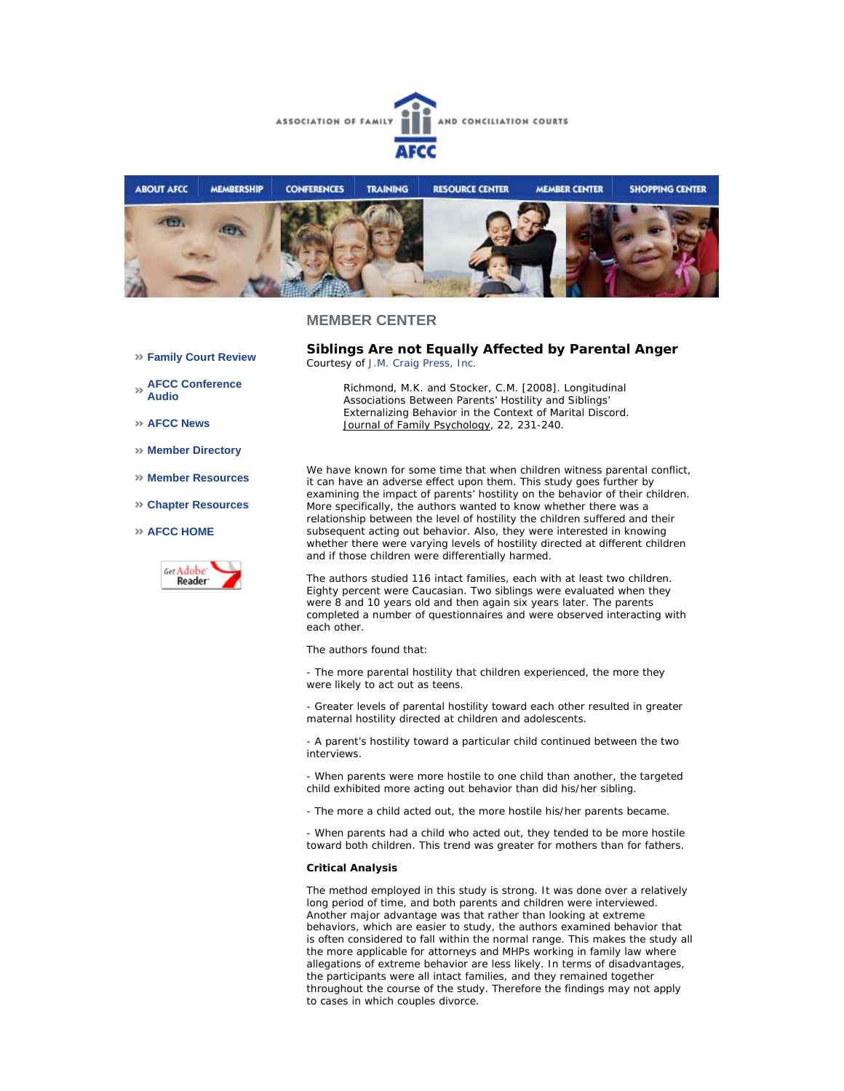



**Family Court Review** 

**AFCC Conference Audio** 

**AFCC News** 

- **Member Directory**
- **Member Resources**
- **Chapter Resources**

### **AFCC HOME**



**Siblings Are not Equally Affected by Parental Anger**  *Courtesy of J.M. Craig Press, Inc.*

*Richmond, M.K. and Stocker, C.M. [2008]. Longitudinal Associations Between Parents' Hostility and Siblings' Externalizing Behavior in the Context of Marital Discord. Journal of Family Psychology, 22, 231-240.*

We have known for some time that when children witness parental conflict, it can have an adverse effect upon them. This study goes further by examining the impact of parents' hostility on the behavior of their children. More specifically, the authors wanted to know whether there was a relationship between the level of hostility the children suffered and their subsequent acting out behavior. Also, they were interested in knowing whether there were varying levels of hostility directed at different children and if those children were differentially harmed.

The authors studied 116 intact families, each with at least two children. Eighty percent were Caucasian. Two siblings were evaluated when they were 8 and 10 years old and then again six years later. The parents completed a number of questionnaires and were observed interacting with each other.

The authors found that:

- The more parental hostility that children experienced, the more they were likely to act out as teens.

- Greater levels of parental hostility toward each other resulted in greater maternal hostility directed at children and adolescents.

- A parent's hostility toward a particular child continued between the two interviews.

- When parents were more hostile to one child than another, the targeted child exhibited more acting out behavior than did his/her sibling.

- The more a child acted out, the more hostile his/her parents became.

- When parents had a child who acted out, they tended to be more hostile toward both children. This trend was greater for mothers than for fathers.

#### **Critical Analysis**

The method employed in this study is strong. It was done over a relatively long period of time, and both parents and children were interviewed. Another major advantage was that rather than looking at extreme behaviors, which are easier to study, the authors examined behavior that is often considered to fall within the normal range. This makes the study all the more applicable for attorneys and MHPs working in family law where allegations of extreme behavior are less likely. In terms of disadvantages, the participants were all intact families, and they remained together throughout the course of the study. Therefore the findings may not apply to cases in which couples divorce.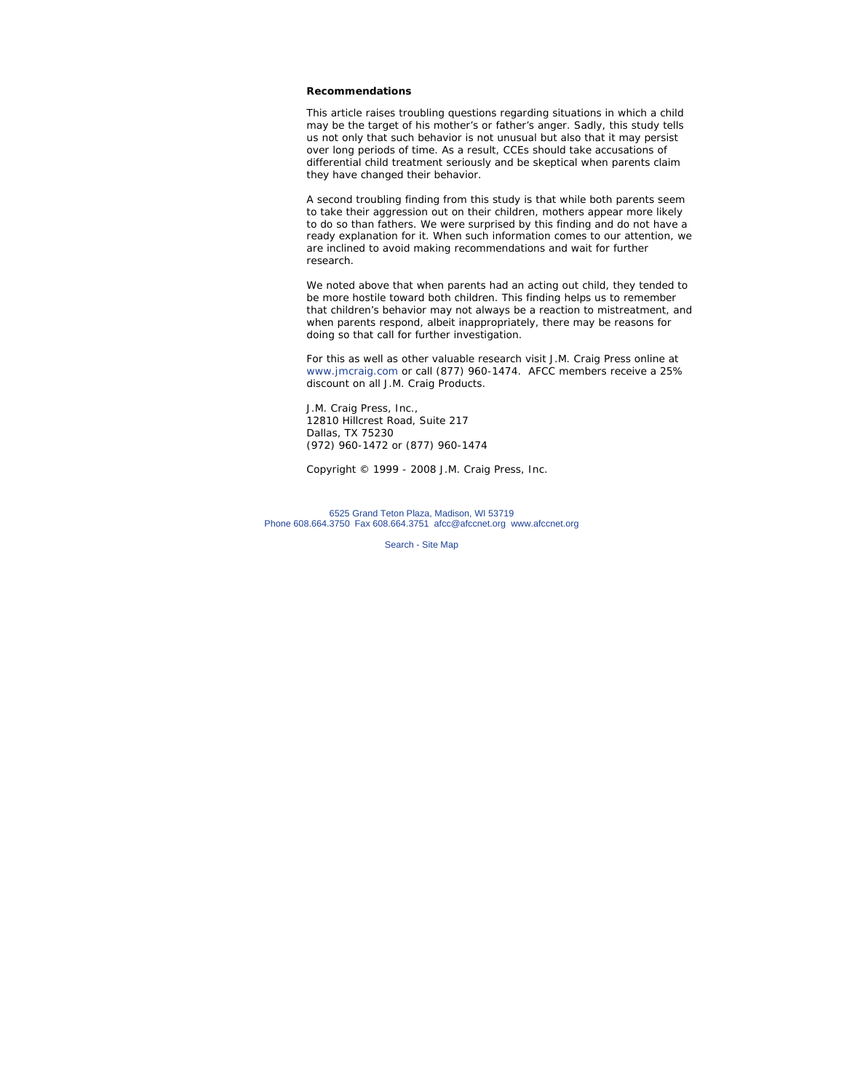#### **Recommendations**

This article raises troubling questions regarding situations in which a child may be the target of his mother's or father's anger. Sadly, this study tells us not only that such behavior is not unusual but also that it may persist over long periods of time. As a result, CCEs should take accusations of differential child treatment seriously and be skeptical when parents claim they have changed their behavior.

A second troubling finding from this study is that while both parents seem to take their aggression out on their children, mothers appear more likely to do so than fathers. We were surprised by this finding and do not have a ready explanation for it. When such information comes to our attention, we are inclined to avoid making recommendations and wait for further research.

We noted above that when parents had an acting out child, they tended to be more hostile toward both children. This finding helps us to remember that children's behavior may not always be a reaction to mistreatment, and when parents respond, albeit inappropriately, there may be reasons for doing so that call for further investigation.

*For this as well as other valuable research visit J.M. Craig Press online at www.jmcraig.com or call (877) 960-1474. AFCC members receive a 25% discount on all J.M. Craig Products.*

J.M. Craig Press, Inc., 12810 Hillcrest Road, Suite 217 Dallas, TX 75230 (972) 960-1472 or (877) 960-1474

*Copyright © 1999 - 2008 J.M. Craig Press, Inc.*

6525 Grand Teton Plaza, Madison, WI 53719 Phone 608.664.3750 Fax 608.664.3751 afcc@afccnet.org www.afccnet.org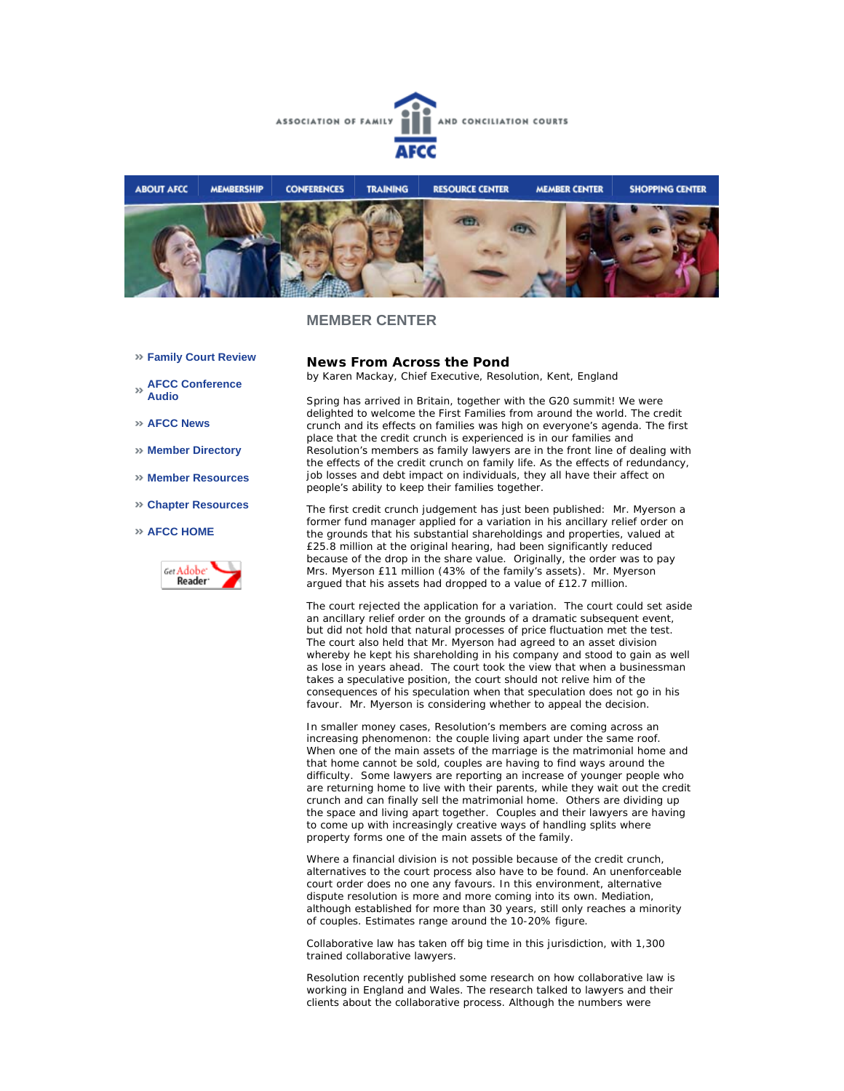



- **Family Court Review**
- **AFCC Conference Audio**
- **AFCC News**
- **Member Directory**
- **Member Resources**
- **Chapter Resources**

### **AFCC HOME**



## **News From Across the Pond**

*by Karen Mackay, Chief Executive, Resolution, Kent, England*

Spring has arrived in Britain, together with the G20 summit! We were delighted to welcome the First Families from around the world. The credit crunch and its effects on families was high on everyone's agenda. The first place that the credit crunch is experienced is in our families and Resolution's members as family lawyers are in the front line of dealing with the effects of the credit crunch on family life. As the effects of redundancy, job losses and debt impact on individuals, they all have their affect on people's ability to keep their families together.

The first credit crunch judgement has just been published: Mr. Myerson a former fund manager applied for a variation in his ancillary relief order on the grounds that his substantial shareholdings and properties, valued at £25.8 million at the original hearing, had been significantly reduced because of the drop in the share value. Originally, the order was to pay Mrs. Myerson £11 million (43% of the family's assets). Mr. Myerson argued that his assets had dropped to a value of £12.7 million.

The court rejected the application for a variation. The court could set aside an ancillary relief order on the grounds of a dramatic subsequent event, but did not hold that natural processes of price fluctuation met the test. The court also held that Mr. Myerson had agreed to an asset division whereby he kept his shareholding in his company and stood to gain as well as lose in years ahead. The court took the view that when a businessman takes a speculative position, the court should not relive him of the consequences of his speculation when that speculation does not go in his favour. Mr. Myerson is considering whether to appeal the decision.

In smaller money cases, Resolution's members are coming across an increasing phenomenon: the couple living apart under the same roof. When one of the main assets of the marriage is the matrimonial home and that home cannot be sold, couples are having to find ways around the difficulty. Some lawyers are reporting an increase of younger people who are returning home to live with their parents, while they wait out the credit crunch and can finally sell the matrimonial home. Others are dividing up the space and living apart together. Couples and their lawyers are having to come up with increasingly creative ways of handling splits where property forms one of the main assets of the family.

Where a financial division is not possible because of the credit crunch, alternatives to the court process also have to be found. An unenforceable court order does no one any favours. In this environment, alternative dispute resolution is more and more coming into its own. Mediation, although established for more than 30 years, still only reaches a minority of couples. Estimates range around the 10-20% figure.

Collaborative law has taken off big time in this jurisdiction, with 1,300 trained collaborative lawyers.

Resolution recently published some research on how collaborative law is working in England and Wales. The research talked to lawyers and their clients about the collaborative process. Although the numbers were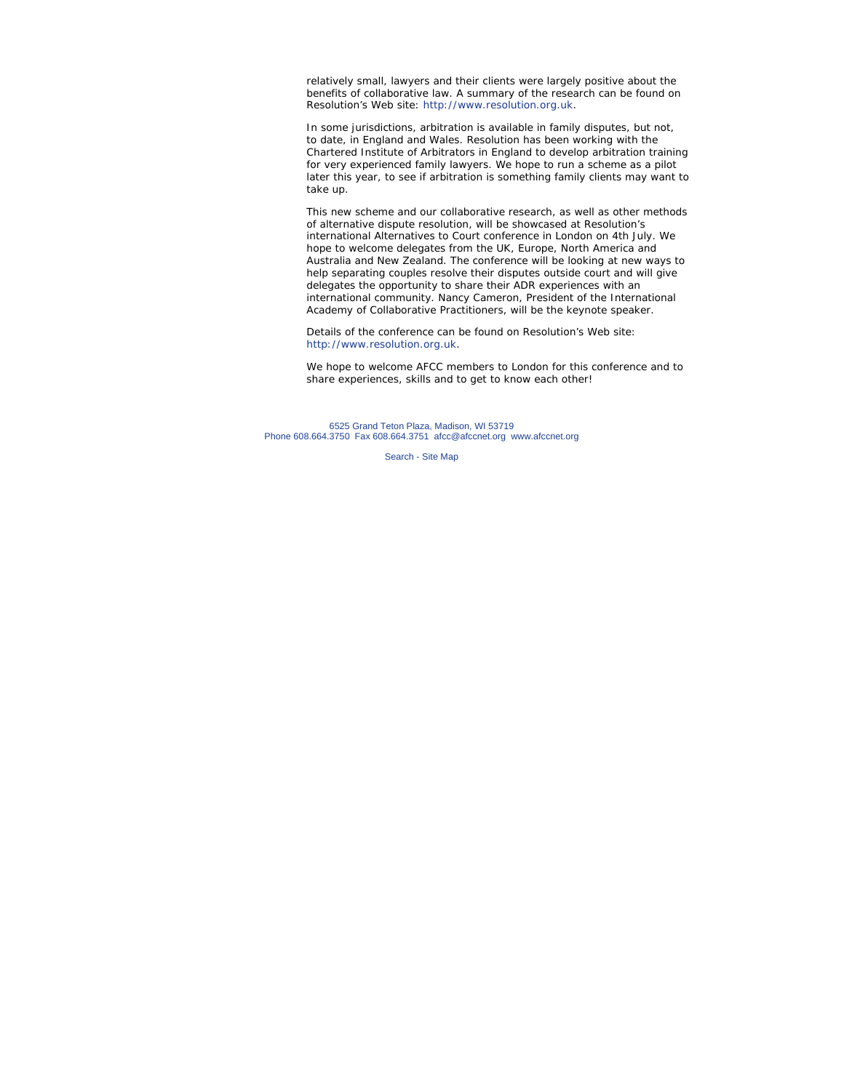relatively small, lawyers and their clients were largely positive about the benefits of collaborative law. A summary of the research can be found on Resolution's Web site: http://www.resolution.org.uk.

In some jurisdictions, arbitration is available in family disputes, but not, to date, in England and Wales. Resolution has been working with the Chartered Institute of Arbitrators in England to develop arbitration training for very experienced family lawyers. We hope to run a scheme as a pilot later this year, to see if arbitration is something family clients may want to take up.

This new scheme and our collaborative research, as well as other methods of alternative dispute resolution, will be showcased at Resolution's international Alternatives to Court conference in London on 4th July. We hope to welcome delegates from the UK, Europe, North America and Australia and New Zealand. The conference will be looking at new ways to help separating couples resolve their disputes outside court and will give delegates the opportunity to share their ADR experiences with an international community. Nancy Cameron, President of the International Academy of Collaborative Practitioners, will be the keynote speaker.

Details of the conference can be found on Resolution's Web site: http://www.resolution.org.uk.

We hope to welcome AFCC members to London for this conference and to share experiences, skills and to get to know each other!

6525 Grand Teton Plaza, Madison, WI 53719 Phone 608.664.3750 Fax 608.664.3751 afcc@afccnet.org www.afccnet.org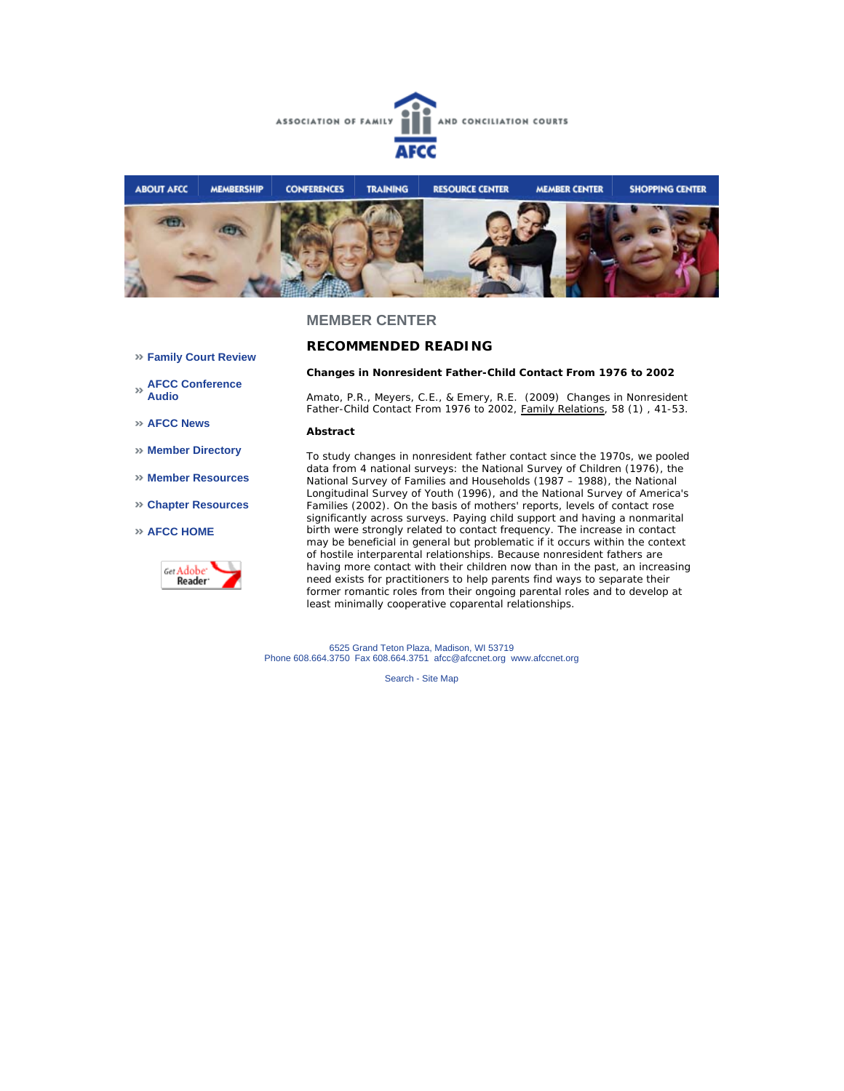



**RECOMMENDED READING** 

### **Family Court Review**

- **AFCC Conference Audio**
- **AFCC News**
- **Member Directory**
- **Member Resources**
- **Chapter Resources**

### **AFCC HOME**



*Amato, P.R., Meyers, C.E., & Emery, R.E. (2009) Changes in Nonresident Father-Child Contact From 1976 to 2002, Family Relations, 58 (1) , 41-53.* 

**Changes in Nonresident Father-Child Contact From 1976 to 2002**

#### *Abstract*

*To study changes in nonresident father contact since the 1970s, we pooled data from 4 national surveys: the National Survey of Children (1976), the National Survey of Families and Households (1987 – 1988), the National Longitudinal Survey of Youth (1996), and the National Survey of America's Families (2002). On the basis of mothers' reports, levels of contact rose significantly across surveys. Paying child support and having a nonmarital birth were strongly related to contact frequency. The increase in contact may be beneficial in general but problematic if it occurs within the context of hostile interparental relationships. Because nonresident fathers are having more contact with their children now than in the past, an increasing need exists for practitioners to help parents find ways to separate their former romantic roles from their ongoing parental roles and to develop at least minimally cooperative coparental relationships.* 

6525 Grand Teton Plaza, Madison, WI 53719 Phone 608.664.3750 Fax 608.664.3751 afcc@afccnet.org www.afccnet.org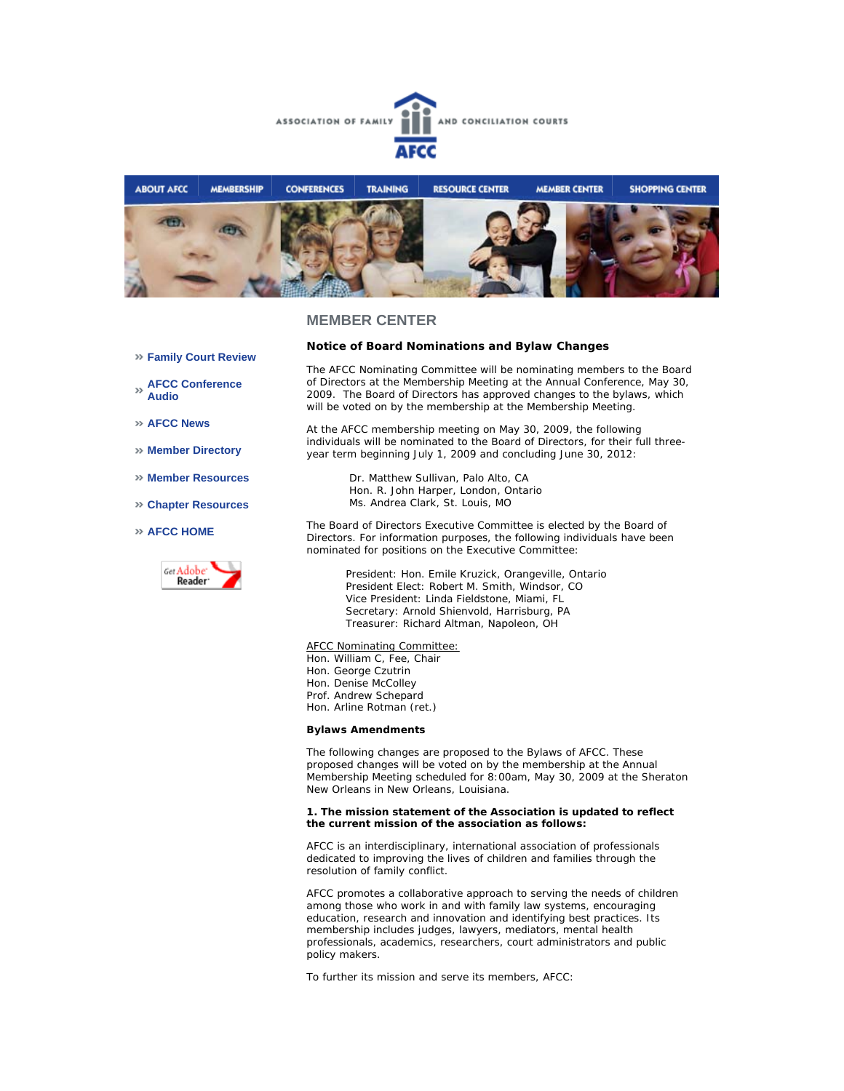



- **Family Court Review**
- **AFCC Conference Audio**
- **AFCC News**
- **Member Directory**
- **Member Resources**
- **Chapter Resources**

#### **AFCC HOME**



**Notice of Board Nominations and Bylaw Changes**

The AFCC Nominating Committee will be nominating members to the Board of Directors at the Membership Meeting at the Annual Conference, May 30, 2009. The Board of Directors has approved changes to the bylaws, which will be voted on by the membership at the Membership Meeting.

At the AFCC membership meeting on May 30, 2009, the following individuals will be nominated to the Board of Directors, for their full threeyear term beginning July 1, 2009 and concluding June 30, 2012:

Dr. Matthew Sullivan, Palo Alto, CA Hon. R. John Harper, London, Ontario Ms. Andrea Clark, St. Louis, MO

The Board of Directors Executive Committee is elected by the Board of Directors. For information purposes, the following individuals have been nominated for positions on the Executive Committee:

> President: Hon. Emile Kruzick, Orangeville, Ontario President Elect: Robert M. Smith, Windsor, CO Vice President: Linda Fieldstone, Miami, FL Secretary: Arnold Shienvold, Harrisburg, PA Treasurer: Richard Altman, Napoleon, OH

#### AFCC Nominating Committee:

Hon. William C, Fee, Chair Hon. George Czutrin Hon. Denise McColley Prof. Andrew Schepard Hon. Arline Rotman (ret.)

#### **Bylaws Amendments**

The following changes are proposed to the Bylaws of AFCC. These proposed changes will be voted on by the membership at the Annual Membership Meeting scheduled for 8:00am, May 30, 2009 at the Sheraton New Orleans in New Orleans, Louisiana.

#### **1. The mission statement of the Association is updated to reflect the current mission of the association as follows:**

AFCC is an interdisciplinary, international association of professionals dedicated to improving the lives of children and families through the resolution of family conflict.

AFCC promotes a collaborative approach to serving the needs of children among those who work in and with family law systems, encouraging education, research and innovation and identifying best practices. Its membership includes judges, lawyers, mediators, mental health professionals, academics, researchers, court administrators and public policy makers.

To further its mission and serve its members, AFCC: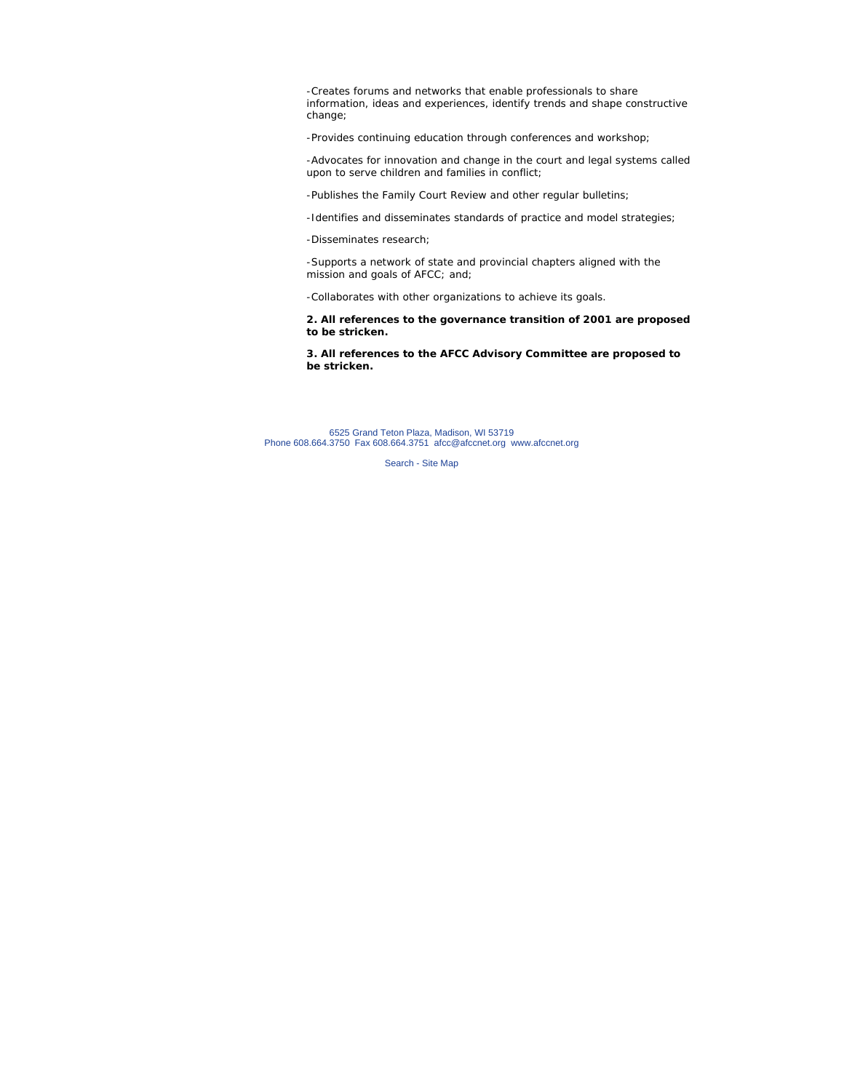-Creates forums and networks that enable professionals to share information, ideas and experiences, identify trends and shape constructive change;

-Provides continuing education through conferences and workshop;

-Advocates for innovation and change in the court and legal systems called upon to serve children and families in conflict;

-Publishes the Family Court Review and other regular bulletins;

-Identifies and disseminates standards of practice and model strategies;

-Disseminates research;

-Supports a network of state and provincial chapters aligned with the mission and goals of AFCC; and;

-Collaborates with other organizations to achieve its goals.

**2. All references to the governance transition of 2001 are proposed to be stricken.**

**3. All references to the AFCC Advisory Committee are proposed to be stricken.**

6525 Grand Teton Plaza, Madison, WI 53719 Phone 608.664.3750 Fax 608.664.3751 afcc@afccnet.org www.afccnet.org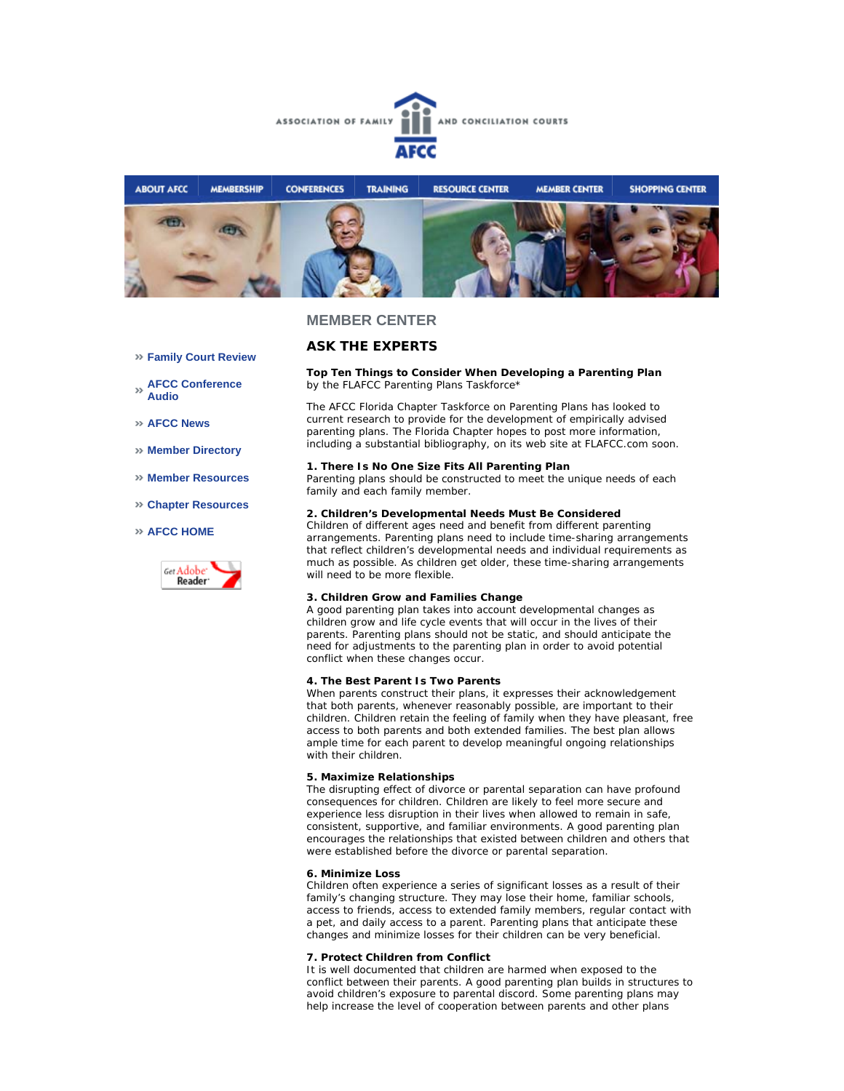



## **ASK THE EXPERTS**

#### **Top Ten Things to Consider When Developing a Parenting Plan** *by the FLAFCC Parenting Plans Taskforce\**

The AFCC Florida Chapter Taskforce on Parenting Plans has looked to current research to provide for the development of empirically advised parenting plans. The Florida Chapter hopes to post more information, including a substantial bibliography, on its web site at FLAFCC.com soon.

#### **1. There Is No One Size Fits All Parenting Plan**

Parenting plans should be constructed to meet the unique needs of each family and each family member.

### **2. Children's Developmental Needs Must Be Considered**

Children of different ages need and benefit from different parenting arrangements. Parenting plans need to include time-sharing arrangements that reflect children's developmental needs and individual requirements as much as possible. As children get older, these time-sharing arrangements will need to be more flexible.

### **3. Children Grow and Families Change**

A good parenting plan takes into account developmental changes as children grow and life cycle events that will occur in the lives of their parents. Parenting plans should not be static, and should anticipate the need for adjustments to the parenting plan in order to avoid potential conflict when these changes occur.

### **4. The Best Parent Is Two Parents**

When parents construct their plans, it expresses their acknowledgement that both parents, whenever reasonably possible, are important to their children. Children retain the feeling of family when they have pleasant, free access to both parents and both extended families. The best plan allows ample time for each parent to develop meaningful ongoing relationships with their children.

#### **5. Maximize Relationships**

The disrupting effect of divorce or parental separation can have profound consequences for children. Children are likely to feel more secure and experience less disruption in their lives when allowed to remain in safe, consistent, supportive, and familiar environments. A good parenting plan encourages the relationships that existed between children and others that were established before the divorce or parental separation.

#### **6. Minimize Loss**

Children often experience a series of significant losses as a result of their family's changing structure. They may lose their home, familiar schools, access to friends, access to extended family members, regular contact with a pet, and daily access to a parent. Parenting plans that anticipate these changes and minimize losses for their children can be very beneficial.

#### **7. Protect Children from Conflict**

It is well documented that children are harmed when exposed to the conflict between their parents. A good parenting plan builds in structures to avoid children's exposure to parental discord. Some parenting plans may help increase the level of cooperation between parents and other plans

- **Family Court Review**
- **AFCC Conference Audio**
- **AFCC News**
- **Member Directory**
- **Member Resources**
- **Chapter Resources**

### **AFCC HOME**